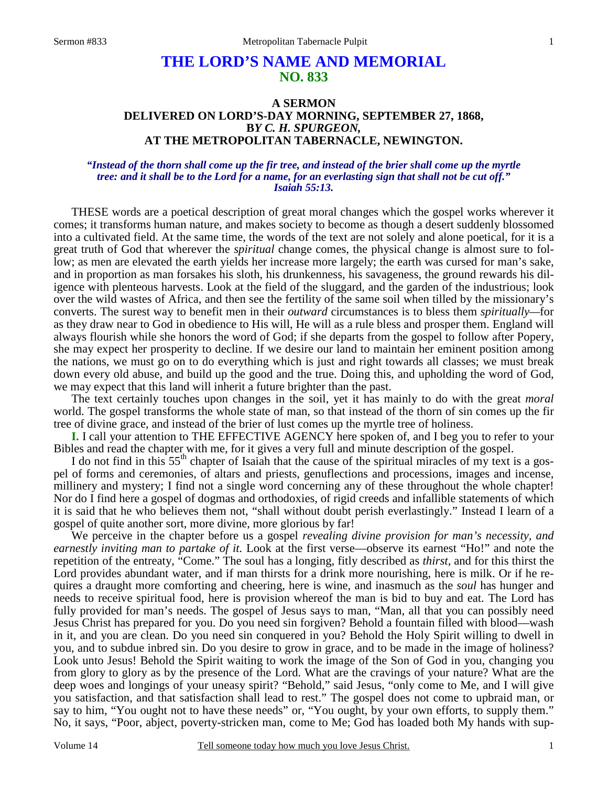# **THE LORD'S NAME AND MEMORIAL NO. 833**

## **A SERMON DELIVERED ON LORD'S-DAY MORNING, SEPTEMBER 27, 1868, B***Y C. H. SPURGEON,*  **AT THE METROPOLITAN TABERNACLE, NEWINGTON.**

#### *"Instead of the thorn shall come up the fir tree, and instead of the brier shall come up the myrtle tree: and it shall be to the Lord for a name, for an everlasting sign that shall not be cut off." Isaiah 55:13.*

THESE words are a poetical description of great moral changes which the gospel works wherever it comes; it transforms human nature, and makes society to become as though a desert suddenly blossomed into a cultivated field. At the same time, the words of the text are not solely and alone poetical, for it is a great truth of God that wherever the *spiritual* change comes, the physical change is almost sure to follow; as men are elevated the earth yields her increase more largely; the earth was cursed for man's sake, and in proportion as man forsakes his sloth, his drunkenness, his savageness, the ground rewards his diligence with plenteous harvests. Look at the field of the sluggard, and the garden of the industrious; look over the wild wastes of Africa, and then see the fertility of the same soil when tilled by the missionary's converts. The surest way to benefit men in their *outward* circumstances is to bless them *spiritually—*for as they draw near to God in obedience to His will, He will as a rule bless and prosper them. England will always flourish while she honors the word of God; if she departs from the gospel to follow after Popery, she may expect her prosperity to decline. If we desire our land to maintain her eminent position among the nations, we must go on to do everything which is just and right towards all classes; we must break down every old abuse, and build up the good and the true. Doing this, and upholding the word of God, we may expect that this land will inherit a future brighter than the past.

 The text certainly touches upon changes in the soil, yet it has mainly to do with the great *moral* world. The gospel transforms the whole state of man, so that instead of the thorn of sin comes up the fir tree of divine grace, and instead of the brier of lust comes up the myrtle tree of holiness.

**I.** I call your attention to THE EFFECTIVE AGENCY here spoken of, and I beg you to refer to your Bibles and read the chapter with me, for it gives a very full and minute description of the gospel.

I do not find in this  $55<sup>th</sup>$  chapter of Isaiah that the cause of the spiritual miracles of my text is a gospel of forms and ceremonies, of altars and priests, genuflections and processions, images and incense, millinery and mystery; I find not a single word concerning any of these throughout the whole chapter! Nor do I find here a gospel of dogmas and orthodoxies, of rigid creeds and infallible statements of which it is said that he who believes them not, "shall without doubt perish everlastingly." Instead I learn of a gospel of quite another sort, more divine, more glorious by far!

 We perceive in the chapter before us a gospel *revealing divine provision for man's necessity, and earnestly inviting man to partake of it.* Look at the first verse—observe its earnest "Ho!" and note the repetition of the entreaty, "Come." The soul has a longing, fitly described as *thirst*, and for this thirst the Lord provides abundant water, and if man thirsts for a drink more nourishing, here is milk. Or if he requires a draught more comforting and cheering, here is wine, and inasmuch as the *soul* has hunger and needs to receive spiritual food, here is provision whereof the man is bid to buy and eat. The Lord has fully provided for man's needs. The gospel of Jesus says to man, "Man, all that you can possibly need Jesus Christ has prepared for you. Do you need sin forgiven? Behold a fountain filled with blood—wash in it, and you are clean. Do you need sin conquered in you? Behold the Holy Spirit willing to dwell in you, and to subdue inbred sin. Do you desire to grow in grace, and to be made in the image of holiness? Look unto Jesus! Behold the Spirit waiting to work the image of the Son of God in you, changing you from glory to glory as by the presence of the Lord. What are the cravings of your nature? What are the deep woes and longings of your uneasy spirit? "Behold," said Jesus, "only come to Me, and I will give you satisfaction, and that satisfaction shall lead to rest." The gospel does not come to upbraid man, or say to him, "You ought not to have these needs" or, "You ought, by your own efforts, to supply them." No, it says, "Poor, abject, poverty-stricken man, come to Me; God has loaded both My hands with sup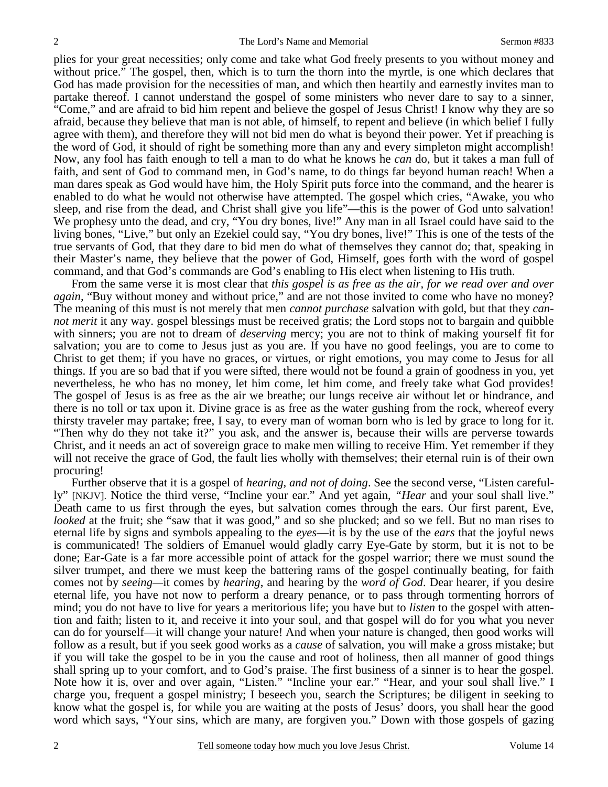plies for your great necessities; only come and take what God freely presents to you without money and without price." The gospel, then, which is to turn the thorn into the myrtle, is one which declares that God has made provision for the necessities of man, and which then heartily and earnestly invites man to partake thereof. I cannot understand the gospel of some ministers who never dare to say to a sinner, "Come," and are afraid to bid him repent and believe the gospel of Jesus Christ! I know why they are so afraid, because they believe that man is not able, of himself, to repent and believe (in which belief I fully agree with them), and therefore they will not bid men do what is beyond their power. Yet if preaching is the word of God, it should of right be something more than any and every simpleton might accomplish! Now, any fool has faith enough to tell a man to do what he knows he *can* do, but it takes a man full of faith, and sent of God to command men, in God's name, to do things far beyond human reach! When a man dares speak as God would have him, the Holy Spirit puts force into the command, and the hearer is enabled to do what he would not otherwise have attempted. The gospel which cries, "Awake, you who sleep, and rise from the dead, and Christ shall give you life"—this is the power of God unto salvation! We prophesy unto the dead, and cry, "You dry bones, live!" Any man in all Israel could have said to the living bones, "Live," but only an Ezekiel could say, "You dry bones, live!" This is one of the tests of the true servants of God, that they dare to bid men do what of themselves they cannot do; that, speaking in their Master's name, they believe that the power of God, Himself, goes forth with the word of gospel command, and that God's commands are God's enabling to His elect when listening to His truth.

 From the same verse it is most clear that *this gospel is as free as the air, for we read over and over again*, "Buy without money and without price," and are not those invited to come who have no money? The meaning of this must is not merely that men *cannot purchase* salvation with gold, but that they *cannot merit* it any way. gospel blessings must be received gratis; the Lord stops not to bargain and quibble with sinners; you are not to dream of *deserving* mercy; you are not to think of making yourself fit for salvation; you are to come to Jesus just as you are. If you have no good feelings, you are to come to Christ to get them; if you have no graces, or virtues, or right emotions, you may come to Jesus for all things. If you are so bad that if you were sifted, there would not be found a grain of goodness in you, yet nevertheless, he who has no money, let him come, let him come, and freely take what God provides! The gospel of Jesus is as free as the air we breathe; our lungs receive air without let or hindrance, and there is no toll or tax upon it. Divine grace is as free as the water gushing from the rock, whereof every thirsty traveler may partake; free, I say, to every man of woman born who is led by grace to long for it. "Then why do they not take it?" you ask, and the answer is, because their wills are perverse towards Christ, and it needs an act of sovereign grace to make men willing to receive Him. Yet remember if they will not receive the grace of God, the fault lies wholly with themselves; their eternal ruin is of their own procuring!

 Further observe that it is a gospel of *hearing, and not of doing*. See the second verse, "Listen carefully" [NKJV]. Notice the third verse, "Incline your ear." And yet again, *"Hear* and your soul shall live." Death came to us first through the eyes, but salvation comes through the ears. Our first parent, Eve, *looked* at the fruit; she "saw that it was good," and so she plucked; and so we fell. But no man rises to eternal life by signs and symbols appealing to the *eyes*—it is by the use of the *ears* that the joyful news is communicated! The soldiers of Emanuel would gladly carry Eye-Gate by storm, but it is not to be done; Ear-Gate is a far more accessible point of attack for the gospel warrior; there we must sound the silver trumpet, and there we must keep the battering rams of the gospel continually beating, for faith comes not by *seeing—*it comes by *hearing*, and hearing by the *word of God*. Dear hearer, if you desire eternal life, you have not now to perform a dreary penance, or to pass through tormenting horrors of mind; you do not have to live for years a meritorious life; you have but to *listen* to the gospel with attention and faith; listen to it, and receive it into your soul, and that gospel will do for you what you never can do for yourself—it will change your nature! And when your nature is changed, then good works will follow as a result, but if you seek good works as a *cause* of salvation, you will make a gross mistake; but if you will take the gospel to be in you the cause and root of holiness, then all manner of good things shall spring up to your comfort, and to God's praise. The first business of a sinner is to hear the gospel. Note how it is, over and over again, "Listen." "Incline your ear." "Hear, and your soul shall live." I charge you, frequent a gospel ministry; I beseech you, search the Scriptures; be diligent in seeking to know what the gospel is, for while you are waiting at the posts of Jesus' doors, you shall hear the good word which says, "Your sins, which are many, are forgiven you." Down with those gospels of gazing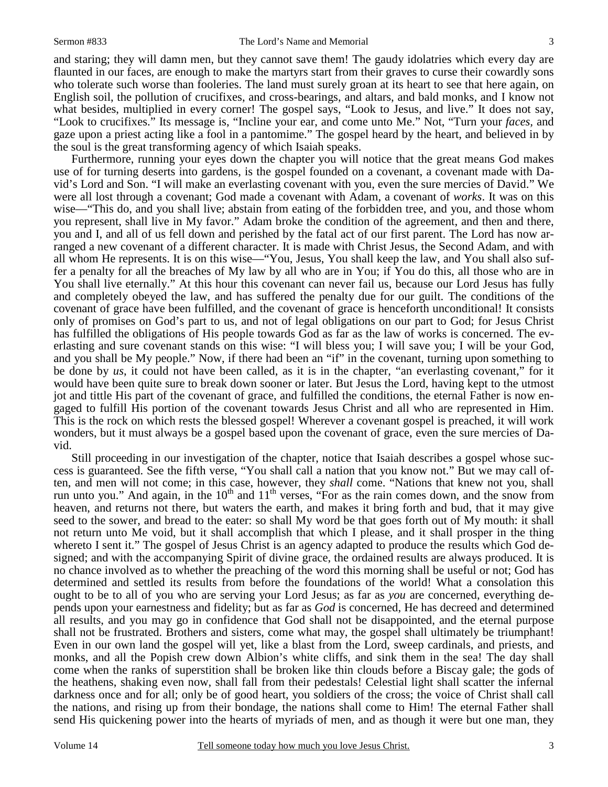and staring; they will damn men, but they cannot save them! The gaudy idolatries which every day are flaunted in our faces, are enough to make the martyrs start from their graves to curse their cowardly sons who tolerate such worse than fooleries. The land must surely groan at its heart to see that here again, on English soil, the pollution of crucifixes, and cross-bearings, and altars, and bald monks, and I know not what besides, multiplied in every corner! The gospel says, "Look to Jesus, and live." It does not say, "Look to crucifixes." Its message is, "Incline your ear, and come unto Me." Not, "Turn your *faces,* and gaze upon a priest acting like a fool in a pantomime." The gospel heard by the heart, and believed in by the soul is the great transforming agency of which Isaiah speaks.

 Furthermore, running your eyes down the chapter you will notice that the great means God makes use of for turning deserts into gardens, is the gospel founded on a covenant, a covenant made with David's Lord and Son. "I will make an everlasting covenant with you, even the sure mercies of David." We were all lost through a covenant; God made a covenant with Adam, a covenant of *works*. It was on this wise—"This do, and you shall live; abstain from eating of the forbidden tree, and you, and those whom you represent, shall live in My favor." Adam broke the condition of the agreement, and then and there, you and I, and all of us fell down and perished by the fatal act of our first parent. The Lord has now arranged a new covenant of a different character. It is made with Christ Jesus, the Second Adam, and with all whom He represents. It is on this wise—"You, Jesus, You shall keep the law, and You shall also suffer a penalty for all the breaches of My law by all who are in You; if You do this, all those who are in You shall live eternally." At this hour this covenant can never fail us, because our Lord Jesus has fully and completely obeyed the law, and has suffered the penalty due for our guilt. The conditions of the covenant of grace have been fulfilled, and the covenant of grace is henceforth unconditional! It consists only of promises on God's part to us, and not of legal obligations on our part to God; for Jesus Christ has fulfilled the obligations of His people towards God as far as the law of works is concerned. The everlasting and sure covenant stands on this wise: "I will bless you; I will save you; I will be your God, and you shall be My people." Now, if there had been an "if" in the covenant, turning upon something to be done by *us*, it could not have been called, as it is in the chapter, "an everlasting covenant," for it would have been quite sure to break down sooner or later. But Jesus the Lord, having kept to the utmost jot and tittle His part of the covenant of grace, and fulfilled the conditions, the eternal Father is now engaged to fulfill His portion of the covenant towards Jesus Christ and all who are represented in Him. This is the rock on which rests the blessed gospel! Wherever a covenant gospel is preached, it will work wonders, but it must always be a gospel based upon the covenant of grace, even the sure mercies of David.

 Still proceeding in our investigation of the chapter, notice that Isaiah describes a gospel whose success is guaranteed. See the fifth verse, "You shall call a nation that you know not." But we may call often, and men will not come; in this case, however, they *shall* come. "Nations that knew not you, shall run unto you." And again, in the  $10<sup>th</sup>$  and  $11<sup>th</sup>$  verses, "For as the rain comes down, and the snow from heaven, and returns not there, but waters the earth, and makes it bring forth and bud, that it may give seed to the sower, and bread to the eater: so shall My word be that goes forth out of My mouth: it shall not return unto Me void, but it shall accomplish that which I please, and it shall prosper in the thing whereto I sent it." The gospel of Jesus Christ is an agency adapted to produce the results which God designed; and with the accompanying Spirit of divine grace, the ordained results are always produced. It is no chance involved as to whether the preaching of the word this morning shall be useful or not; God has determined and settled its results from before the foundations of the world! What a consolation this ought to be to all of you who are serving your Lord Jesus; as far as *you* are concerned, everything depends upon your earnestness and fidelity; but as far as *God* is concerned, He has decreed and determined all results, and you may go in confidence that God shall not be disappointed, and the eternal purpose shall not be frustrated. Brothers and sisters, come what may, the gospel shall ultimately be triumphant! Even in our own land the gospel will yet, like a blast from the Lord, sweep cardinals, and priests, and monks, and all the Popish crew down Albion's white cliffs, and sink them in the sea! The day shall come when the ranks of superstition shall be broken like thin clouds before a Biscay gale; the gods of the heathens, shaking even now, shall fall from their pedestals! Celestial light shall scatter the infernal darkness once and for all; only be of good heart, you soldiers of the cross; the voice of Christ shall call the nations, and rising up from their bondage, the nations shall come to Him! The eternal Father shall send His quickening power into the hearts of myriads of men, and as though it were but one man, they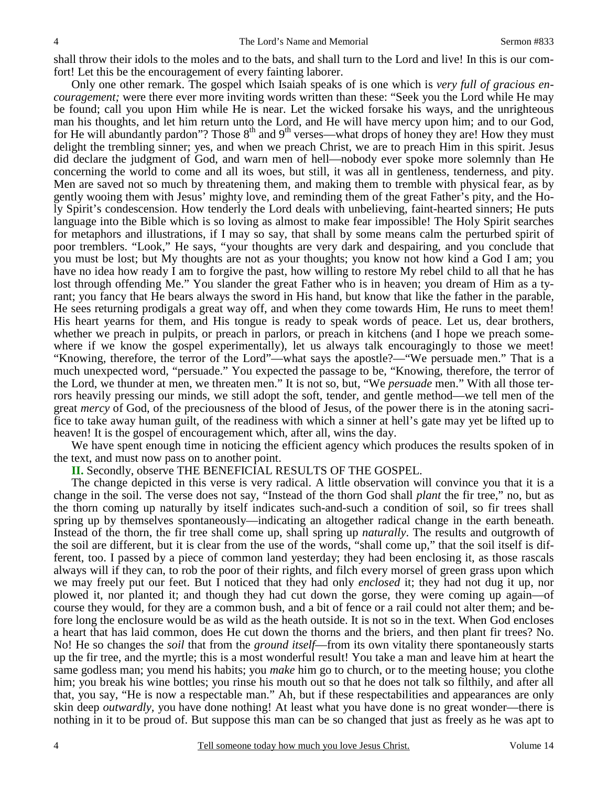shall throw their idols to the moles and to the bats, and shall turn to the Lord and live! In this is our comfort! Let this be the encouragement of every fainting laborer.

 Only one other remark. The gospel which Isaiah speaks of is one which is *very full of gracious encouragement;* were there ever more inviting words written than these: "Seek you the Lord while He may be found; call you upon Him while He is near. Let the wicked forsake his ways, and the unrighteous man his thoughts, and let him return unto the Lord, and He will have mercy upon him; and to our God, for He will abundantly pardon"? Those 8<sup>th</sup> and 9<sup>th</sup> verses—what drops of honey they are! How they must delight the trembling sinner; yes, and when we preach Christ, we are to preach Him in this spirit. Jesus did declare the judgment of God, and warn men of hell—nobody ever spoke more solemnly than He concerning the world to come and all its woes, but still, it was all in gentleness, tenderness, and pity. Men are saved not so much by threatening them, and making them to tremble with physical fear, as by gently wooing them with Jesus' mighty love, and reminding them of the great Father's pity, and the Holy Spirit's condescension. How tenderly the Lord deals with unbelieving, faint-hearted sinners; He puts language into the Bible which is so loving as almost to make fear impossible! The Holy Spirit searches for metaphors and illustrations, if I may so say, that shall by some means calm the perturbed spirit of poor tremblers. "Look," He says, "your thoughts are very dark and despairing, and you conclude that you must be lost; but My thoughts are not as your thoughts; you know not how kind a God I am; you have no idea how ready I am to forgive the past, how willing to restore My rebel child to all that he has lost through offending Me." You slander the great Father who is in heaven; you dream of Him as a tyrant; you fancy that He bears always the sword in His hand, but know that like the father in the parable, He sees returning prodigals a great way off, and when they come towards Him, He runs to meet them! His heart yearns for them, and His tongue is ready to speak words of peace. Let us, dear brothers, whether we preach in pulpits, or preach in parlors, or preach in kitchens (and I hope we preach somewhere if we know the gospel experimentally), let us always talk encouragingly to those we meet! "Knowing, therefore, the terror of the Lord"—what says the apostle?—"We persuade men." That is a much unexpected word, "persuade." You expected the passage to be, "Knowing, therefore, the terror of the Lord, we thunder at men, we threaten men." It is not so, but, "We *persuade* men." With all those terrors heavily pressing our minds, we still adopt the soft, tender, and gentle method—we tell men of the great *mercy* of God, of the preciousness of the blood of Jesus, of the power there is in the atoning sacrifice to take away human guilt, of the readiness with which a sinner at hell's gate may yet be lifted up to heaven! It is the gospel of encouragement which, after all, wins the day.

We have spent enough time in noticing the efficient agency which produces the results spoken of in the text, and must now pass on to another point.

**II.** Secondly, observe THE BENEFICIAL RESULTS OF THE GOSPEL.

 The change depicted in this verse is very radical. A little observation will convince you that it is a change in the soil. The verse does not say, "Instead of the thorn God shall *plant* the fir tree," no, but as the thorn coming up naturally by itself indicates such-and-such a condition of soil, so fir trees shall spring up by themselves spontaneously—indicating an altogether radical change in the earth beneath. Instead of the thorn, the fir tree shall come up, shall spring up *naturally*. The results and outgrowth of the soil are different, but it is clear from the use of the words, "shall come up," that the soil itself is different, too. I passed by a piece of common land yesterday; they had been enclosing it, as those rascals always will if they can, to rob the poor of their rights, and filch every morsel of green grass upon which we may freely put our feet. But I noticed that they had only *enclosed* it; they had not dug it up, nor plowed it, nor planted it; and though they had cut down the gorse, they were coming up again—of course they would, for they are a common bush, and a bit of fence or a rail could not alter them; and before long the enclosure would be as wild as the heath outside. It is not so in the text. When God encloses a heart that has laid common, does He cut down the thorns and the briers, and then plant fir trees? No. No! He so changes the *soil* that from the *ground itself*—from its own vitality there spontaneously starts up the fir tree, and the myrtle; this is a most wonderful result! You take a man and leave him at heart the same godless man; you mend his habits; you *make* him go to church, or to the meeting house; you clothe him; you break his wine bottles; you rinse his mouth out so that he does not talk so filthily, and after all that, you say, "He is now a respectable man." Ah, but if these respectabilities and appearances are only skin deep *outwardly,* you have done nothing! At least what you have done is no great wonder—there is nothing in it to be proud of. But suppose this man can be so changed that just as freely as he was apt to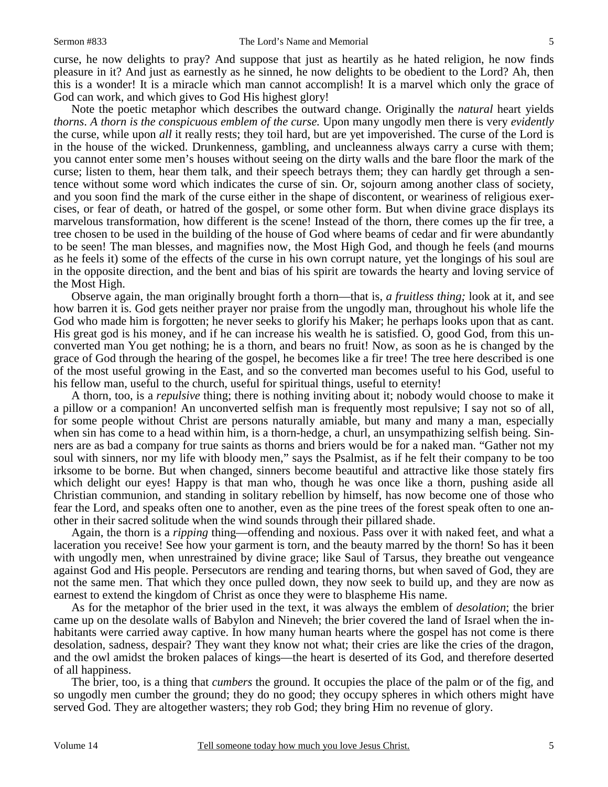curse, he now delights to pray? And suppose that just as heartily as he hated religion, he now finds pleasure in it? And just as earnestly as he sinned, he now delights to be obedient to the Lord? Ah, then this is a wonder! It is a miracle which man cannot accomplish! It is a marvel which only the grace of God can work, and which gives to God His highest glory!

 Note the poetic metaphor which describes the outward change. Originally the *natural* heart yields *thorns*. A *thorn is the conspicuous emblem of the curse*. Upon many ungodly men there is very *evidently* the curse, while upon *all* it really rests; they toil hard, but are yet impoverished. The curse of the Lord is in the house of the wicked. Drunkenness, gambling, and uncleanness always carry a curse with them; you cannot enter some men's houses without seeing on the dirty walls and the bare floor the mark of the curse; listen to them, hear them talk, and their speech betrays them; they can hardly get through a sentence without some word which indicates the curse of sin. Or, sojourn among another class of society, and you soon find the mark of the curse either in the shape of discontent, or weariness of religious exercises, or fear of death, or hatred of the gospel, or some other form. But when divine grace displays its marvelous transformation, how different is the scene! Instead of the thorn, there comes up the fir tree, a tree chosen to be used in the building of the house of God where beams of cedar and fir were abundantly to be seen! The man blesses, and magnifies now, the Most High God, and though he feels (and mourns as he feels it) some of the effects of the curse in his own corrupt nature, yet the longings of his soul are in the opposite direction, and the bent and bias of his spirit are towards the hearty and loving service of the Most High.

 Observe again, the man originally brought forth a thorn—that is, *a fruitless thing;* look at it, and see how barren it is. God gets neither prayer nor praise from the ungodly man, throughout his whole life the God who made him is forgotten; he never seeks to glorify his Maker; he perhaps looks upon that as cant. His great god is his money, and if he can increase his wealth he is satisfied. O, good God, from this unconverted man You get nothing; he is a thorn, and bears no fruit! Now, as soon as he is changed by the grace of God through the hearing of the gospel, he becomes like a fir tree! The tree here described is one of the most useful growing in the East, and so the converted man becomes useful to his God, useful to his fellow man, useful to the church, useful for spiritual things, useful to eternity!

 A thorn, too, is a *repulsive* thing; there is nothing inviting about it; nobody would choose to make it a pillow or a companion! An unconverted selfish man is frequently most repulsive; I say not so of all, for some people without Christ are persons naturally amiable, but many and many a man, especially when sin has come to a head within him, is a thorn-hedge, a churl, an unsympathizing selfish being. Sinners are as bad a company for true saints as thorns and briers would be for a naked man. "Gather not my soul with sinners, nor my life with bloody men," says the Psalmist, as if he felt their company to be too irksome to be borne. But when changed, sinners become beautiful and attractive like those stately firs which delight our eyes! Happy is that man who, though he was once like a thorn, pushing aside all Christian communion, and standing in solitary rebellion by himself, has now become one of those who fear the Lord, and speaks often one to another, even as the pine trees of the forest speak often to one another in their sacred solitude when the wind sounds through their pillared shade.

 Again, the thorn is a *ripping* thing—offending and noxious. Pass over it with naked feet, and what a laceration you receive! See how your garment is torn, and the beauty marred by the thorn! So has it been with ungodly men, when unrestrained by divine grace; like Saul of Tarsus, they breathe out vengeance against God and His people. Persecutors are rending and tearing thorns, but when saved of God, they are not the same men. That which they once pulled down, they now seek to build up, and they are now as earnest to extend the kingdom of Christ as once they were to blaspheme His name.

 As for the metaphor of the brier used in the text, it was always the emblem of *desolation*; the brier came up on the desolate walls of Babylon and Nineveh; the brier covered the land of Israel when the inhabitants were carried away captive. In how many human hearts where the gospel has not come is there desolation, sadness, despair? They want they know not what; their cries are like the cries of the dragon, and the owl amidst the broken palaces of kings—the heart is deserted of its God, and therefore deserted of all happiness.

 The brier, too, is a thing that *cumbers* the ground. It occupies the place of the palm or of the fig, and so ungodly men cumber the ground; they do no good; they occupy spheres in which others might have served God. They are altogether wasters; they rob God; they bring Him no revenue of glory.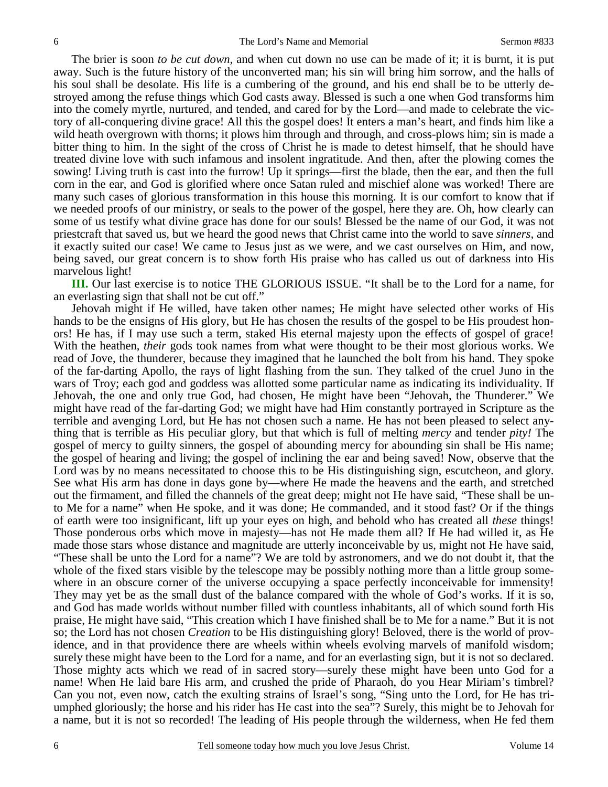The brier is soon *to be cut down,* and when cut down no use can be made of it; it is burnt, it is put away. Such is the future history of the unconverted man; his sin will bring him sorrow, and the halls of his soul shall be desolate. His life is a cumbering of the ground, and his end shall be to be utterly destroyed among the refuse things which God casts away. Blessed is such a one when God transforms him into the comely myrtle, nurtured, and tended, and cared for by the Lord—and made to celebrate the victory of all-conquering divine grace! All this the gospel does! It enters a man's heart, and finds him like a wild heath overgrown with thorns; it plows him through and through, and cross-plows him; sin is made a bitter thing to him. In the sight of the cross of Christ he is made to detest himself, that he should have treated divine love with such infamous and insolent ingratitude. And then, after the plowing comes the sowing! Living truth is cast into the furrow! Up it springs—first the blade, then the ear, and then the full corn in the ear, and God is glorified where once Satan ruled and mischief alone was worked! There are many such cases of glorious transformation in this house this morning. It is our comfort to know that if we needed proofs of our ministry, or seals to the power of the gospel, here they are. Oh, how clearly can some of us testify what divine grace has done for our souls! Blessed be the name of our God, it was not priestcraft that saved us, but we heard the good news that Christ came into the world to save *sinners,* and it exactly suited our case! We came to Jesus just as we were, and we cast ourselves on Him, and now, being saved, our great concern is to show forth His praise who has called us out of darkness into His marvelous light!

**III.** Our last exercise is to notice THE GLORIOUS ISSUE. "It shall be to the Lord for a name, for an everlasting sign that shall not be cut off."

 Jehovah might if He willed, have taken other names; He might have selected other works of His hands to be the ensigns of His glory, but He has chosen the results of the gospel to be His proudest honors! He has, if I may use such a term, staked His eternal majesty upon the effects of gospel of grace! With the heathen, *their* gods took names from what were thought to be their most glorious works. We read of Jove, the thunderer, because they imagined that he launched the bolt from his hand. They spoke of the far-darting Apollo, the rays of light flashing from the sun. They talked of the cruel Juno in the wars of Troy; each god and goddess was allotted some particular name as indicating its individuality. If Jehovah, the one and only true God, had chosen, He might have been "Jehovah, the Thunderer." We might have read of the far-darting God; we might have had Him constantly portrayed in Scripture as the terrible and avenging Lord, but He has not chosen such a name. He has not been pleased to select anything that is terrible as His peculiar glory, but that which is full of melting *mercy* and tender *pity!* The gospel of mercy to guilty sinners, the gospel of abounding mercy for abounding sin shall be His name; the gospel of hearing and living; the gospel of inclining the ear and being saved! Now, observe that the Lord was by no means necessitated to choose this to be His distinguishing sign, escutcheon, and glory. See what His arm has done in days gone by—where He made the heavens and the earth, and stretched out the firmament, and filled the channels of the great deep; might not He have said, "These shall be unto Me for a name" when He spoke, and it was done; He commanded, and it stood fast? Or if the things of earth were too insignificant, lift up your eyes on high, and behold who has created all *these* things! Those ponderous orbs which move in majesty—has not He made them all? If He had willed it, as He made those stars whose distance and magnitude are utterly inconceivable by us, might not He have said, "These shall be unto the Lord for a name"? We are told by astronomers, and we do not doubt it, that the whole of the fixed stars visible by the telescope may be possibly nothing more than a little group somewhere in an obscure corner of the universe occupying a space perfectly inconceivable for immensity! They may yet be as the small dust of the balance compared with the whole of God's works. If it is so, and God has made worlds without number filled with countless inhabitants, all of which sound forth His praise, He might have said, "This creation which I have finished shall be to Me for a name." But it is not so; the Lord has not chosen *Creation* to be His distinguishing glory! Beloved, there is the world of providence, and in that providence there are wheels within wheels evolving marvels of manifold wisdom; surely these might have been to the Lord for a name, and for an everlasting sign, but it is not so declared. Those mighty acts which we read of in sacred story—surely these might have been unto God for a name! When He laid bare His arm, and crushed the pride of Pharaoh, do you Hear Miriam's timbrel? Can you not, even now, catch the exulting strains of Israel's song, "Sing unto the Lord, for He has triumphed gloriously; the horse and his rider has He cast into the sea"? Surely, this might be to Jehovah for a name, but it is not so recorded! The leading of His people through the wilderness, when He fed them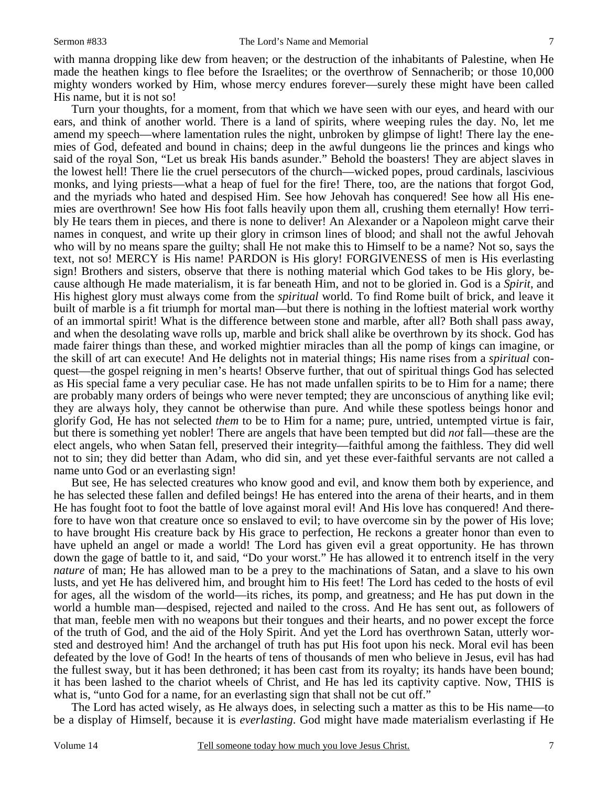with manna dropping like dew from heaven; or the destruction of the inhabitants of Palestine, when He made the heathen kings to flee before the Israelites; or the overthrow of Sennacherib; or those 10,000 mighty wonders worked by Him, whose mercy endures forever—surely these might have been called His name, but it is not so!

 Turn your thoughts, for a moment, from that which we have seen with our eyes, and heard with our ears, and think of another world. There is a land of spirits, where weeping rules the day. No, let me amend my speech—where lamentation rules the night, unbroken by glimpse of light! There lay the enemies of God, defeated and bound in chains; deep in the awful dungeons lie the princes and kings who said of the royal Son, "Let us break His bands asunder." Behold the boasters! They are abject slaves in the lowest hell! There lie the cruel persecutors of the church—wicked popes, proud cardinals, lascivious monks, and lying priests—what a heap of fuel for the fire! There, too, are the nations that forgot God, and the myriads who hated and despised Him. See how Jehovah has conquered! See how all His enemies are overthrown! See how His foot falls heavily upon them all, crushing them eternally! How terribly He tears them in pieces, and there is none to deliver! An Alexander or a Napoleon might carve their names in conquest, and write up their glory in crimson lines of blood; and shall not the awful Jehovah who will by no means spare the guilty; shall He not make this to Himself to be a name? Not so, says the text, not so! MERCY is His name! PARDON is His glory! FORGIVENESS of men is His everlasting sign! Brothers and sisters, observe that there is nothing material which God takes to be His glory, because although He made materialism, it is far beneath Him, and not to be gloried in. God is a *Spirit*, and His highest glory must always come from the *spiritual* world. To find Rome built of brick, and leave it built of marble is a fit triumph for mortal man—but there is nothing in the loftiest material work worthy of an immortal spirit! What is the difference between stone and marble, after all? Both shall pass away, and when the desolating wave rolls up, marble and brick shall alike be overthrown by its shock. God has made fairer things than these, and worked mightier miracles than all the pomp of kings can imagine, or the skill of art can execute! And He delights not in material things; His name rises from a *spiritual* conquest—the gospel reigning in men's hearts! Observe further, that out of spiritual things God has selected as His special fame a very peculiar case. He has not made unfallen spirits to be to Him for a name; there are probably many orders of beings who were never tempted; they are unconscious of anything like evil; they are always holy, they cannot be otherwise than pure. And while these spotless beings honor and glorify God, He has not selected *them* to be to Him for a name; pure, untried, untempted virtue is fair, but there is something yet nobler! There are angels that have been tempted but did *not* fall—these are the elect angels, who when Satan fell, preserved their integrity—faithful among the faithless. They did well not to sin; they did better than Adam, who did sin, and yet these ever-faithful servants are not called a name unto God or an everlasting sign!

 But see, He has selected creatures who know good and evil, and know them both by experience, and he has selected these fallen and defiled beings! He has entered into the arena of their hearts, and in them He has fought foot to foot the battle of love against moral evil! And His love has conquered! And therefore to have won that creature once so enslaved to evil; to have overcome sin by the power of His love; to have brought His creature back by His grace to perfection, He reckons a greater honor than even to have upheld an angel or made a world! The Lord has given evil a great opportunity. He has thrown down the gage of battle to it, and said, "Do your worst." He has allowed it to entrench itself in the very *nature* of man; He has allowed man to be a prey to the machinations of Satan, and a slave to his own lusts, and yet He has delivered him, and brought him to His feet! The Lord has ceded to the hosts of evil for ages, all the wisdom of the world—its riches, its pomp, and greatness; and He has put down in the world a humble man—despised, rejected and nailed to the cross. And He has sent out, as followers of that man, feeble men with no weapons but their tongues and their hearts, and no power except the force of the truth of God, and the aid of the Holy Spirit. And yet the Lord has overthrown Satan, utterly worsted and destroyed him! And the archangel of truth has put His foot upon his neck. Moral evil has been defeated by the love of God! In the hearts of tens of thousands of men who believe in Jesus, evil has had the fullest sway, but it has been dethroned; it has been cast from its royalty; its hands have been bound; it has been lashed to the chariot wheels of Christ, and He has led its captivity captive. Now, THIS is what is, "unto God for a name, for an everlasting sign that shall not be cut off."

 The Lord has acted wisely, as He always does, in selecting such a matter as this to be His name—to be a display of Himself, because it is *everlasting*. God might have made materialism everlasting if He